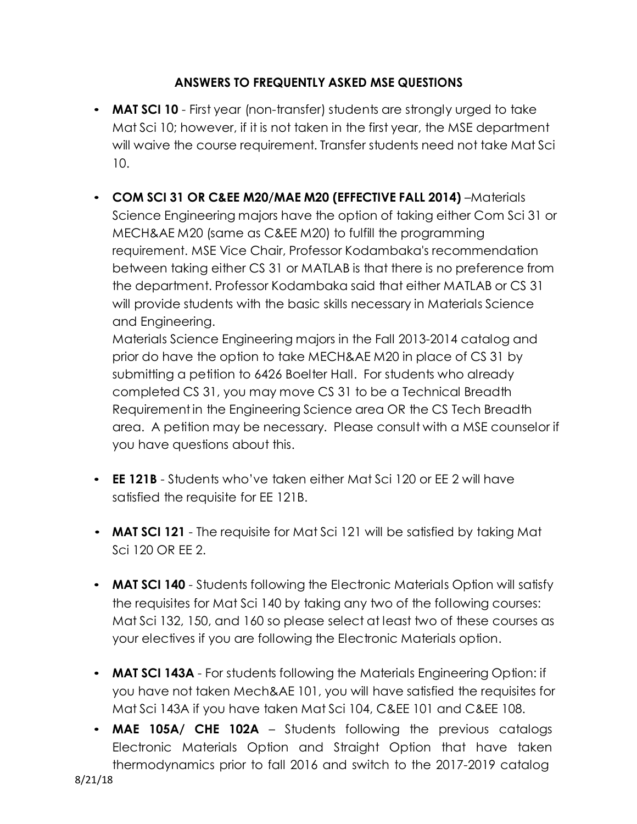## **ANSWERS TO FREQUENTLY ASKED MSE QUESTIONS**

- **MAT SCI 10**  First year (non-transfer) students are strongly urged to take Mat Sci 10; however, if it is not taken in the first year, the MSE department will waive the course requirement. Transfer students need not take Mat Sci 10.
- **COM SCI 31 OR C&EE M20/MAE M20 (EFFECTIVE FALL 2014)** –Materials Science Engineering majors have the option of taking either Com Sci 31 or MECH&AE M20 (same as C&EE M20) to fulfill the programming requirement. MSE Vice Chair, Professor Kodambaka's recommendation between taking either CS 31 or MATLAB is that there is no preference from the department. Professor Kodambaka said that either MATLAB or CS 31 will provide students with the basic skills necessary in Materials Science and Engineering.

Materials Science Engineering majors in the Fall 2013-2014 catalog and prior do have the option to take MECH&AE M20 in place of CS 31 by submitting a petition to 6426 Boelter Hall. For students who already completed CS 31, you may move CS 31 to be a Technical Breadth Requirementin the Engineering Science area OR the CS Tech Breadth area. A petition may be necessary. Please consult with a MSE counselor if you have questions about this.

- **EE 121B**  Students who've taken either Mat Sci 120 or EE 2 will have satisfied the requisite for EE 121B.
- **MAT SCI 121**  The requisite for Mat Sci 121 will be satisfied by taking Mat Sci 120 OR EE 2.
- **MAT SCI 140**  Students following the Electronic Materials Option will satisfy the requisites for Mat Sci 140 by taking any two of the following courses: Mat Sci 132, 150, and 160 so please select at least two of these courses as your electives if you are following the Electronic Materials option.
- **MAT SCI 143A** For students following the Materials Engineering Option: if you have not taken Mech&AE 101, you will have satisfied the requisites for Mat Sci 143A if you have taken Mat Sci 104, C&EE 101 and C&EE 108.
- **MAE 105A/ CHE 102A**  Students following the previous catalogs Electronic Materials Option and Straight Option that have taken thermodynamics prior to fall 2016 and switch to the 2017-2019 catalog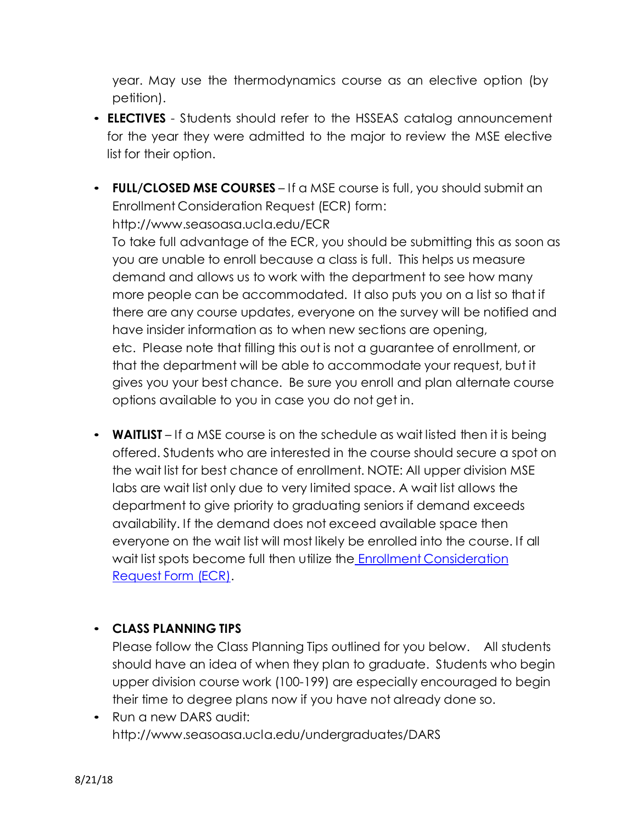year. May use the thermodynamics course as an elective option (by petition).

- **ELECTIVES** Students should refer to the HSSEAS catalog announcement for the year they were admitted to the major to review the MSE elective list for their option.
- **FULL/CLOSED MSE COURSES** If a MSE course is full, you should submit an Enrollment Consideration Request (ECR) form[:](http://www.seasoasa.ucla.edu/ECR) <http://www.seasoasa.ucla.edu/ECR>

To take full advantage of the ECR, you should be submitting this as soon as you are unable to enroll because a class is full. This helps us measure demand and allows us to work with the department to see how many more people can be accommodated. It also puts you on a list so that if there are any course updates, everyone on the survey will be notified and have insider information as to when new sections are opening, etc. Please note that filling this out is not a guarantee of enrollment, or that the department will be able to accommodate your request, but it gives you your best chance. Be sure you enroll and plan alternate course options available to you in case you do not get in.

• **WAITLIST** – If a MSE course is on the schedule as wait listed then it is being offered. Students who are interested in the course should secure a spot on the wait list for best chance of enrollment. NOTE: All upper division MSE labs are wait list only due to very limited space. A wait list allows the department to give priority to graduating seniors if demand exceeds availability. If the demand does not exceed available space then everyone on the wait list will most likely be enrolled into the course. If all wait list spots become full then utilize the Enrollment [Consideration](http://www.seasoasa.ucla.edu/ECR) [Request](http://www.seasoasa.ucla.edu/ECR) Form (ECR).

## • **CLASS PLANNING TIPS**

Please follow the Class Planning Tips outlined for you below. All students should have an idea of when they plan to graduate. Students who begin upper division course work (100-199) are especially encouraged to begin their time to degree plans now if you have not already done so.

• Run a new DARS audit: <http://www.seasoasa.ucla.edu/undergraduates/DARS>